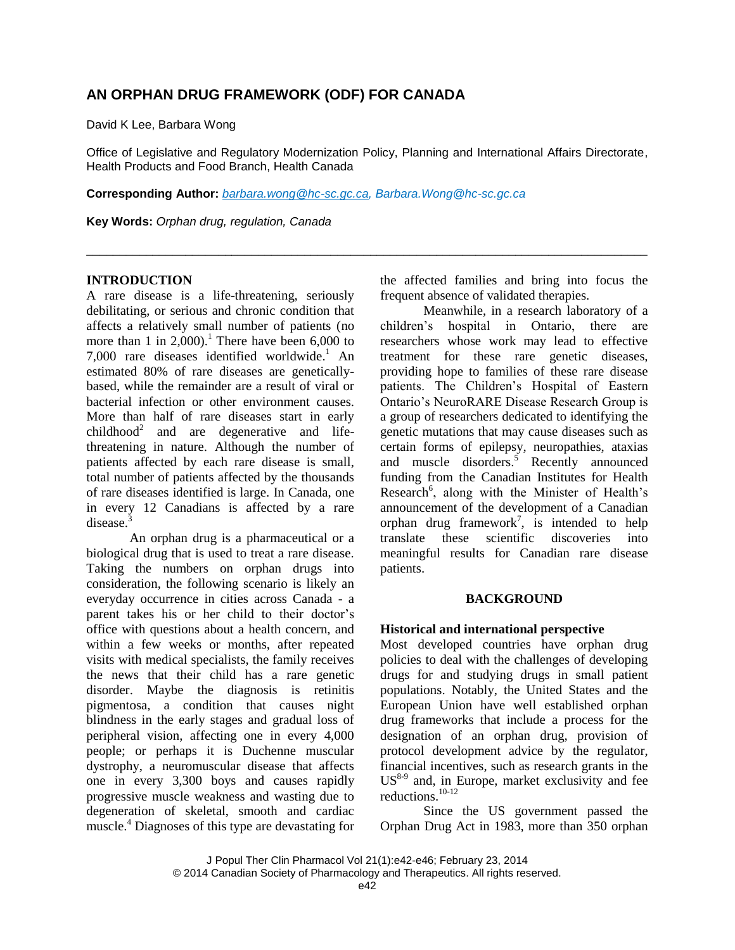# **AN ORPHAN DRUG FRAMEWORK (ODF) FOR CANADA**

David K Lee, Barbara Wong

Office of Legislative and Regulatory Modernization Policy, Planning and International Affairs Directorate, Health Products and Food Branch, Health Canada

\_\_\_\_\_\_\_\_\_\_\_\_\_\_\_\_\_\_\_\_\_\_\_\_\_\_\_\_\_\_\_\_\_\_\_\_\_\_\_\_\_\_\_\_\_\_\_\_\_\_\_\_\_\_\_\_\_\_\_\_\_\_\_\_\_\_\_\_\_\_\_\_\_\_\_\_\_\_\_\_\_\_\_\_\_

**Corresponding Author:** *[barbara.wong@hc-sc.gc.ca,](mailto:barbara.wong@hc-sc.gc.ca) [Barbara.Wong@hc-sc.gc.ca](mailto:Barbara.Wong@hc-sc.gc.ca)*

**Key Words:** *Orphan drug, regulation, Canada*

#### **INTRODUCTION**

A rare disease is a life-threatening, seriously debilitating, or serious and chronic condition that affects a relatively small number of patients (no more than 1 in 2,000). <sup>1</sup> There have been 6,000 to 7,000 rare diseases identified worldwide. <sup>1</sup> An estimated 80% of rare diseases are geneticallybased, while the remainder are a result of viral or bacterial infection or other environment causes. More than half of rare diseases start in early  $childhood<sup>2</sup>$  and are degenerative and lifethreatening in nature. Although the number of patients affected by each rare disease is small, total number of patients affected by the thousands of rare diseases identified is large. In Canada, one in every 12 Canadians is affected by a rare disease.<sup>3</sup>

An orphan drug is a pharmaceutical or a biological drug that is used to treat a rare disease. Taking the numbers on orphan drugs into consideration, the following scenario is likely an everyday occurrence in cities across Canada - a parent takes his or her child to their doctor's office with questions about a health concern, and within a few weeks or months, after repeated visits with medical specialists, the family receives the news that their child has a rare genetic disorder. Maybe the diagnosis is retinitis pigmentosa, a condition that causes night blindness in the early stages and gradual loss of peripheral vision, affecting one in every 4,000 people; or perhaps it is Duchenne muscular dystrophy, a neuromuscular disease that affects one in every 3,300 boys and causes rapidly progressive muscle weakness and wasting due to degeneration of skeletal, smooth and cardiac muscle. <sup>4</sup> Diagnoses of this type are devastating for

the affected families and bring into focus the frequent absence of validated therapies.

Meanwhile, in a research laboratory of a children's hospital in Ontario, there are researchers whose work may lead to effective treatment for these rare genetic diseases, providing hope to families of these rare disease patients. The Children's Hospital of Eastern Ontario's NeuroRARE Disease Research Group is a group of researchers dedicated to identifying the genetic mutations that may cause diseases such as certain forms of epilepsy, neuropathies, ataxias and muscle disorders.<sup>5</sup> Recently announced funding from the Canadian Institutes for Health Research<sup>6</sup>, along with the Minister of Health's announcement of the development of a Canadian orphan drug framework<sup>7</sup>, is intended to help translate these scientific discoveries into meaningful results for Canadian rare disease patients.

#### **BACKGROUND**

#### **Historical and international perspective**

Most developed countries have orphan drug policies to deal with the challenges of developing drugs for and studying drugs in small patient populations. Notably, the United States and the European Union have well established orphan drug frameworks that include a process for the designation of an orphan drug, provision of protocol development advice by the regulator, financial incentives, such as research grants in the  $US<sup>8-9</sup>$  and, in Europe, market exclusivity and fee reductions. 10-12

Since the US government passed the Orphan Drug Act in 1983, more than 350 orphan

J Popul Ther Clin Pharmacol Vol 21(1):e42-e46; February 23, 2014 © 2014 Canadian Society of Pharmacology and Therapeutics. All rights reserved.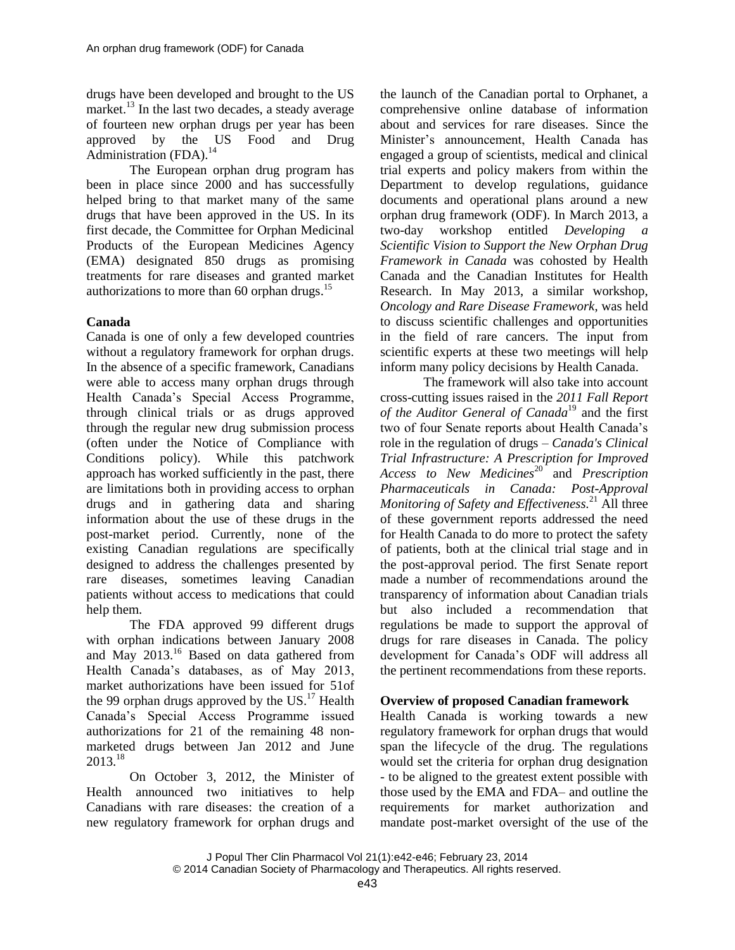drugs have been developed and brought to the US market. 13 In the last two decades, a steady average of fourteen new orphan drugs per year has been approved by the US Food and Drug Administration (FDA).<sup>14</sup>

The European orphan drug program has been in place since 2000 and has successfully helped bring to that market many of the same drugs that have been approved in the US. In its first decade, the Committee for Orphan Medicinal Products of the European Medicines Agency (EMA) designated 850 drugs as promising treatments for rare diseases and granted market authorizations to more than 60 orphan drugs.<sup>15</sup>

# **Canada**

Canada is one of only a few developed countries without a regulatory framework for orphan drugs. In the absence of a specific framework, Canadians were able to access many orphan drugs through Health Canada's Special Access Programme, through clinical trials or as drugs approved through the regular new drug submission process (often under the Notice of Compliance with Conditions policy). While this patchwork approach has worked sufficiently in the past, there are limitations both in providing access to orphan drugs and in gathering data and sharing information about the use of these drugs in the post-market period. Currently, none of the existing Canadian regulations are specifically designed to address the challenges presented by rare diseases, sometimes leaving Canadian patients without access to medications that could help them.

The FDA approved 99 different drugs with orphan indications between January 2008 and May  $2013$ .<sup>16</sup> Based on data gathered from Health Canada's databases, as of May 2013, market authorizations have been issued for 51of the 99 orphan drugs approved by the  $US.<sup>17</sup>$  Health Canada's Special Access Programme issued authorizations for 21 of the remaining 48 nonmarketed drugs between Jan 2012 and June 2013. 18

On October 3, 2012, the Minister of Health announced two initiatives to help Canadians with rare diseases: the creation of a new regulatory framework for orphan drugs and the launch of the Canadian portal to Orphanet, a comprehensive online database of information about and services for rare diseases. Since the Minister's announcement, Health Canada has engaged a group of scientists, medical and clinical trial experts and policy makers from within the Department to develop regulations, guidance documents and operational plans around a new orphan drug framework (ODF). In March 2013, a two-day workshop entitled *Developing a Scientific Vision to Support the New Orphan Drug Framework in Canada* was cohosted by Health Canada and the Canadian Institutes for Health Research. In May 2013, a similar workshop, *Oncology and Rare Disease Framework*, was held to discuss scientific challenges and opportunities in the field of rare cancers. The input from scientific experts at these two meetings will help inform many policy decisions by Health Canada.

The framework will also take into account cross-cutting issues raised in the *2011 Fall Report*  of the Auditor General of Canada<sup>19</sup> and the first two of four Senate reports about Health Canada's role in the regulation of drugs – *Canada's Clinical Trial Infrastructure: A Prescription for Improved Access to New Medicines*<sup>20</sup><sup>*f*</sup> and *Prescription Pharmaceuticals in Canada: Post-Approval Monitoring of Safety and Effectiveness.* <sup>21</sup> All three of these government reports addressed the need for Health Canada to do more to protect the safety of patients, both at the clinical trial stage and in the post-approval period. The first Senate report made a number of recommendations around the transparency of information about Canadian trials but also included a recommendation that regulations be made to support the approval of drugs for rare diseases in Canada. The policy development for Canada's ODF will address all the pertinent recommendations from these reports.

## **Overview of proposed Canadian framework**

Health Canada is working towards a new regulatory framework for orphan drugs that would span the lifecycle of the drug. The regulations would set the criteria for orphan drug designation - to be aligned to the greatest extent possible with those used by the EMA and FDA– and outline the requirements for market authorization and mandate post-market oversight of the use of the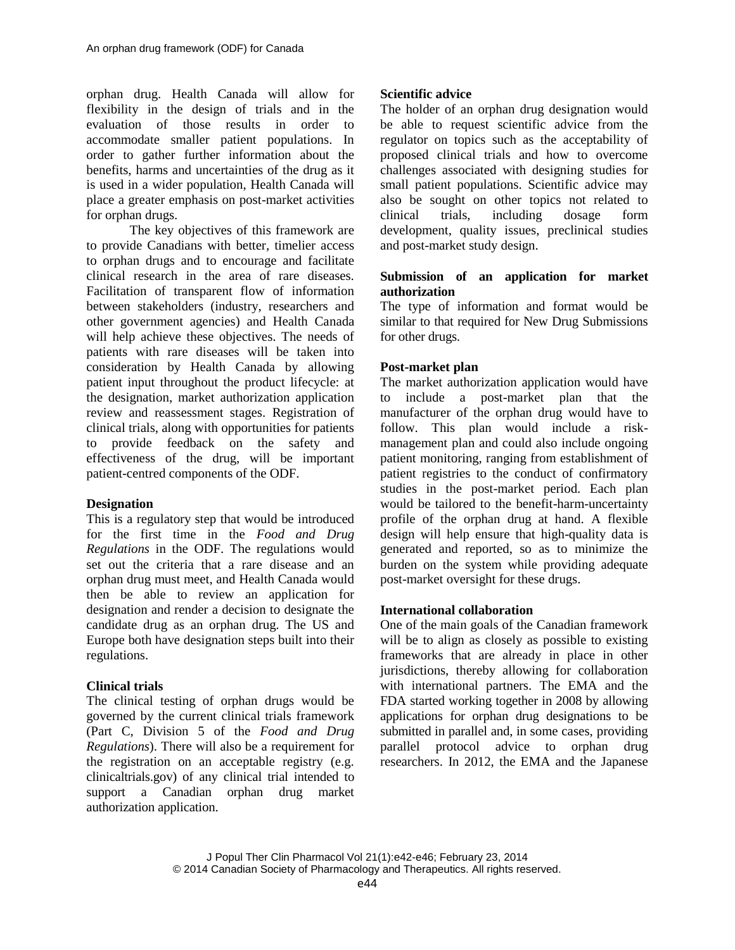orphan drug. Health Canada will allow for flexibility in the design of trials and in the evaluation of those results in order to accommodate smaller patient populations. In order to gather further information about the benefits, harms and uncertainties of the drug as it is used in a wider population, Health Canada will place a greater emphasis on post-market activities for orphan drugs.

The key objectives of this framework are to provide Canadians with better, timelier access to orphan drugs and to encourage and facilitate clinical research in the area of rare diseases. Facilitation of transparent flow of information between stakeholders (industry, researchers and other government agencies) and Health Canada will help achieve these objectives. The needs of patients with rare diseases will be taken into consideration by Health Canada by allowing patient input throughout the product lifecycle: at the designation, market authorization application review and reassessment stages. Registration of clinical trials, along with opportunities for patients to provide feedback on the safety and effectiveness of the drug, will be important patient-centred components of the ODF.

## **Designation**

This is a regulatory step that would be introduced for the first time in the *Food and Drug Regulations* in the ODF. The regulations would set out the criteria that a rare disease and an orphan drug must meet, and Health Canada would then be able to review an application for designation and render a decision to designate the candidate drug as an orphan drug. The US and Europe both have designation steps built into their regulations.

## **Clinical trials**

The clinical testing of orphan drugs would be governed by the current clinical trials framework (Part C, Division 5 of the *Food and Drug Regulations*). There will also be a requirement for the registration on an acceptable registry (e.g. clinicaltrials.gov) of any clinical trial intended to support a Canadian orphan drug market authorization application.

## **Scientific advice**

The holder of an orphan drug designation would be able to request scientific advice from the regulator on topics such as the acceptability of proposed clinical trials and how to overcome challenges associated with designing studies for small patient populations. Scientific advice may also be sought on other topics not related to clinical trials, including dosage form development, quality issues, preclinical studies and post-market study design.

#### **Submission of an application for market authorization**

The type of information and format would be similar to that required for New Drug Submissions for other drugs.

## **Post-market plan**

The market authorization application would have to include a post-market plan that the manufacturer of the orphan drug would have to follow. This plan would include a riskmanagement plan and could also include ongoing patient monitoring, ranging from establishment of patient registries to the conduct of confirmatory studies in the post-market period. Each plan would be tailored to the benefit-harm-uncertainty profile of the orphan drug at hand. A flexible design will help ensure that high-quality data is generated and reported, so as to minimize the burden on the system while providing adequate post-market oversight for these drugs.

## **International collaboration**

One of the main goals of the Canadian framework will be to align as closely as possible to existing frameworks that are already in place in other jurisdictions, thereby allowing for collaboration with international partners. The EMA and the FDA started working together in 2008 by allowing applications for orphan drug designations to be submitted in parallel and, in some cases, providing parallel protocol advice to orphan drug researchers. In 2012, the EMA and the Japanese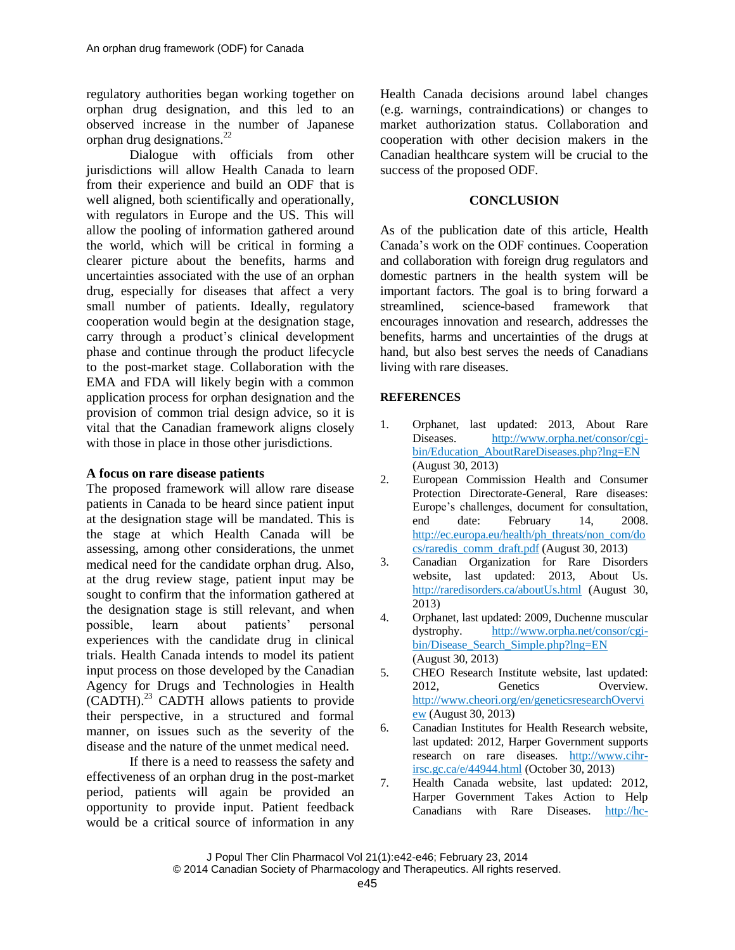regulatory authorities began working together on orphan drug designation, and this led to an observed increase in the number of Japanese orphan drug designations. 22

Dialogue with officials from other jurisdictions will allow Health Canada to learn from their experience and build an ODF that is well aligned, both scientifically and operationally, with regulators in Europe and the US. This will allow the pooling of information gathered around the world, which will be critical in forming a clearer picture about the benefits, harms and uncertainties associated with the use of an orphan drug, especially for diseases that affect a very small number of patients. Ideally, regulatory cooperation would begin at the designation stage, carry through a product's clinical development phase and continue through the product lifecycle to the post-market stage. Collaboration with the EMA and FDA will likely begin with a common application process for orphan designation and the provision of common trial design advice, so it is vital that the Canadian framework aligns closely with those in place in those other jurisdictions.

## **A focus on rare disease patients**

The proposed framework will allow rare disease patients in Canada to be heard since patient input at the designation stage will be mandated. This is the stage at which Health Canada will be assessing, among other considerations, the unmet medical need for the candidate orphan drug. Also, at the drug review stage, patient input may be sought to confirm that the information gathered at the designation stage is still relevant, and when possible, learn about patients' personal experiences with the candidate drug in clinical trials. Health Canada intends to model its patient input process on those developed by the Canadian Agency for Drugs and Technologies in Health (CADTH). <sup>23</sup> CADTH allows patients to provide their perspective, in a structured and formal manner, on issues such as the severity of the disease and the nature of the unmet medical need.

If there is a need to reassess the safety and effectiveness of an orphan drug in the post-market period, patients will again be provided an opportunity to provide input. Patient feedback would be a critical source of information in any Health Canada decisions around label changes (e.g. warnings, contraindications) or changes to market authorization status. Collaboration and cooperation with other decision makers in the Canadian healthcare system will be crucial to the success of the proposed ODF.

## **CONCLUSION**

As of the publication date of this article, Health Canada's work on the ODF continues. Cooperation and collaboration with foreign drug regulators and domestic partners in the health system will be important factors. The goal is to bring forward a streamlined, science-based framework that encourages innovation and research, addresses the benefits, harms and uncertainties of the drugs at hand, but also best serves the needs of Canadians living with rare diseases.

## **REFERENCES**

- 1. Orphanet, last updated: 2013, About Rare Diseases. [http://www.orpha.net/consor/cgi](http://www.orpha.net/consor/cgi-bin/Education_AboutRareDiseases.php?lng=EN)[bin/Education\\_AboutRareDiseases.php?lng=EN](http://www.orpha.net/consor/cgi-bin/Education_AboutRareDiseases.php?lng=EN) (August 30, 2013)
- 2. European Commission Health and Consumer Protection Directorate-General, Rare diseases: Europe's challenges, document for consultation, end date: February 14, 2008. [http://ec.europa.eu/health/ph\\_threats/non\\_com/do](http://ec.europa.eu/health/ph_threats/non_com/docs/raredis_comm_draft.pdf) [cs/raredis\\_comm\\_draft.pdf](http://ec.europa.eu/health/ph_threats/non_com/docs/raredis_comm_draft.pdf) (August 30, 2013)
- 3. Canadian Organization for Rare Disorders website, last updated: 2013, About Us. <http://raredisorders.ca/aboutUs.html> (August 30, 2013)
- 4. Orphanet, last updated: 2009, Duchenne muscular dystrophy. [http://www.orpha.net/consor/cgi](http://www.orpha.net/consor/cgi-bin/Disease_Search_Simple.php?lng=EN)[bin/Disease\\_Search\\_Simple.php?lng=EN](http://www.orpha.net/consor/cgi-bin/Disease_Search_Simple.php?lng=EN) (August 30, 2013)
- 5. CHEO Research Institute website, last updated: 2012, Genetics Overview. [http://www.cheori.org/en/geneticsresearchOvervi](http://www.cheori.org/en/geneticsresearchOverview) [ew](http://www.cheori.org/en/geneticsresearchOverview) (August 30, 2013)
- 6. Canadian Institutes for Health Research website, last updated: 2012, Harper Government supports research on rare diseases. [http://www.cihr](http://www.cihr-irsc.gc.ca/e/44944.html)[irsc.gc.ca/e/44944.html](http://www.cihr-irsc.gc.ca/e/44944.html) (October 30, 2013)
- 7. Health Canada website, last updated: 2012, Harper Government Takes Action to Help Canadians with Rare Diseases. [http://hc-](http://hc-sc.gc.ca/ahc-asc/media/nr-cp/_2012/2012-147-eng.php)

J Popul Ther Clin Pharmacol Vol 21(1):e42-e46; February 23, 2014 © 2014 Canadian Society of Pharmacology and Therapeutics. All rights reserved.